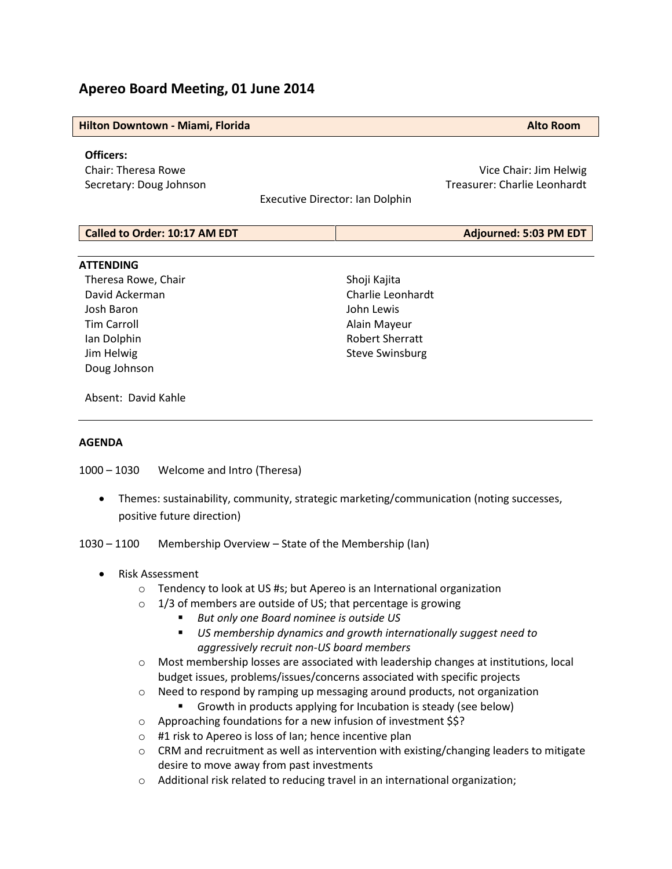# **Apereo Board Meeting, 01 June 2014**

#### **Hilton Downtown - Miami, Florida Alto Room**

### **Officers:**

Chair: Theresa Rowe Secretary: Doug Johnson

Executive Director: Ian Dolphin

### **Called to Order: 10:17 AM EDT Adjourned: 5:03 PM EDT**

### **ATTENDING**

Theresa Rowe, Chair David Ackerman Josh Baron Tim Carroll Ian Dolphin Jim Helwig Doug Johnson

Shoji Kajita Charlie Leonhardt John Lewis Alain Mayeur Robert Sherratt Steve Swinsburg

Absent: David Kahle

### **AGENDA**

1000 – 1030 Welcome and Intro (Theresa)

 Themes: sustainability, community, strategic marketing/communication (noting successes, positive future direction)

1030 – 1100 Membership Overview – State of the Membership (Ian)

- Risk Assessment
	- o Tendency to look at US #s; but Apereo is an International organization
	- $\circ$  1/3 of members are outside of US; that percentage is growing
		- *But only one Board nominee is outside US*
		- *US membership dynamics and growth internationally suggest need to aggressively recruit non-US board members*
	- $\circ$  Most membership losses are associated with leadership changes at institutions, local budget issues, problems/issues/concerns associated with specific projects
	- $\circ$  Need to respond by ramping up messaging around products, not organization
		- Growth in products applying for Incubation is steady (see below)
	- o Approaching foundations for a new infusion of investment \$\$?
	- o #1 risk to Apereo is loss of Ian; hence incentive plan
	- $\circ$  CRM and recruitment as well as intervention with existing/changing leaders to mitigate desire to move away from past investments
	- o Additional risk related to reducing travel in an international organization;

Treasurer: Charlie Leonhardt

Vice Chair: Jim Helwig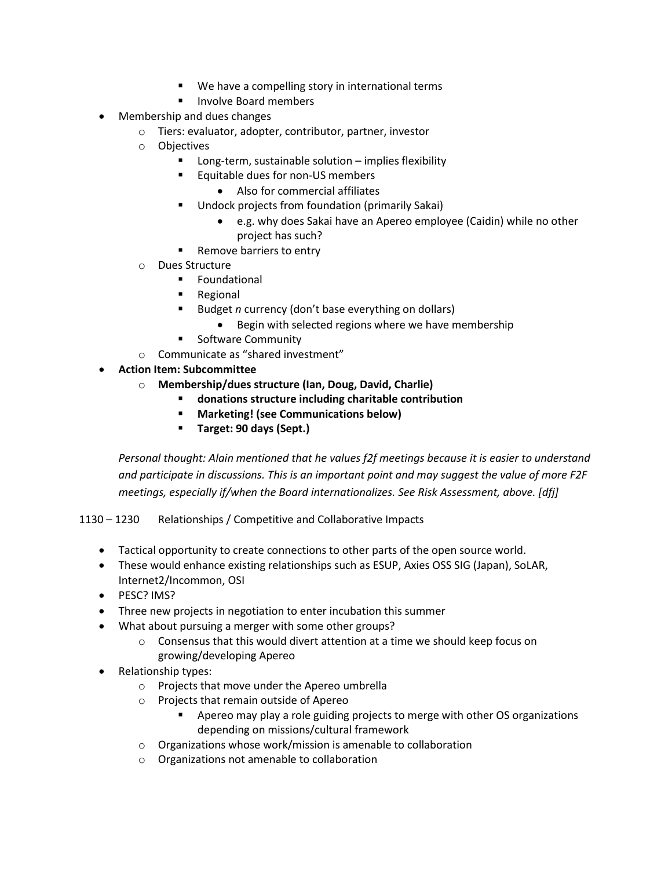- We have a compelling story in international terms
- **Involve Board members**
- Membership and dues changes
	- o Tiers: evaluator, adopter, contributor, partner, investor
	- o Objectives
		- **E** Long-term, sustainable solution implies flexibility
		- **Equitable dues for non-US members** 
			- Also for commercial affiliates
		- Undock projects from foundation (primarily Sakai)
			- e.g. why does Sakai have an Apereo employee (Caidin) while no other project has such?
		- Remove barriers to entry
	- o Dues Structure
		- **F** Foundational
		- **Regional**
		- Budget *n* currency (don't base everything on dollars)
			- Begin with selected regions where we have membership
		- **Software Community**
	- o Communicate as "shared investment"
- **Action Item: Subcommittee**
	- o **Membership/dues structure (Ian, Doug, David, Charlie)**
		- **donations structure including charitable contribution**
		- **Marketing! (see Communications below)**
		- **Target: 90 days (Sept.)**

*Personal thought: Alain mentioned that he values f2f meetings because it is easier to understand and participate in discussions. This is an important point and may suggest the value of more F2F meetings, especially if/when the Board internationalizes. See Risk Assessment, above. [dfj]*

1130 – 1230 Relationships / Competitive and Collaborative Impacts

- Tactical opportunity to create connections to other parts of the open source world.
- These would enhance existing relationships such as ESUP, Axies OSS SIG (Japan), SoLAR, Internet2/Incommon, OSI
- · PESC? IMS?
- Three new projects in negotiation to enter incubation this summer
- What about pursuing a merger with some other groups?
	- o Consensus that this would divert attention at a time we should keep focus on growing/developing Apereo
- Relationship types:
	- o Projects that move under the Apereo umbrella
	- o Projects that remain outside of Apereo
		- Apereo may play a role guiding projects to merge with other OS organizations depending on missions/cultural framework
	- o Organizations whose work/mission is amenable to collaboration
	- o Organizations not amenable to collaboration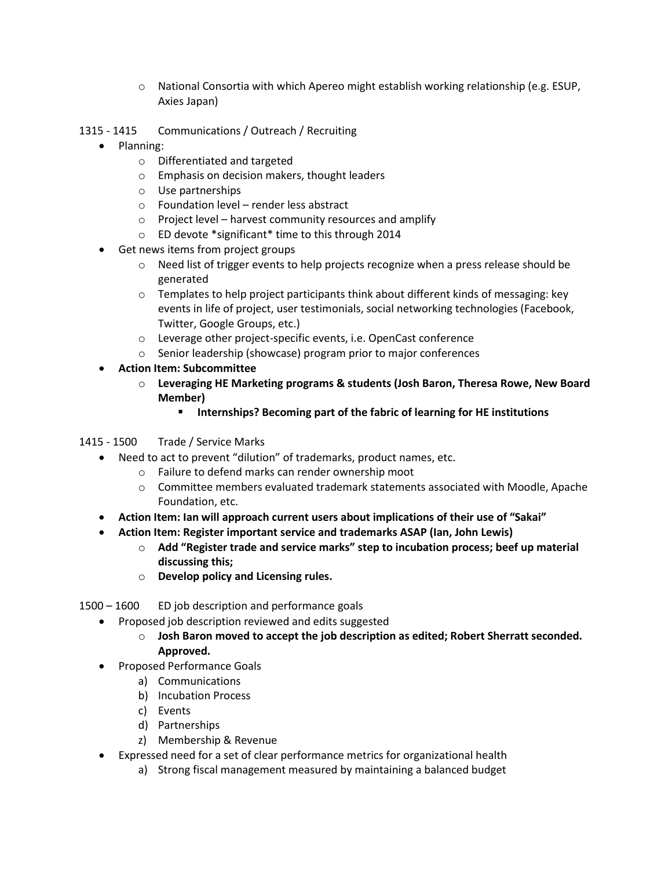- $\circ$  National Consortia with which Apereo might establish working relationship (e.g. ESUP, Axies Japan)
- 1315 1415 Communications / Outreach / Recruiting
	- Planning:
		- o Differentiated and targeted
		- o Emphasis on decision makers, thought leaders
		- o Use partnerships
		- o Foundation level render less abstract
		- o Project level harvest community resources and amplify
		- o ED devote \*significant\* time to this through 2014
	- Get news items from project groups
		- $\circ$  Need list of trigger events to help projects recognize when a press release should be generated
		- $\circ$  Templates to help project participants think about different kinds of messaging: key events in life of project, user testimonials, social networking technologies (Facebook, Twitter, Google Groups, etc.)
		- o Leverage other project-specific events, i.e. OpenCast conference
		- o Senior leadership (showcase) program prior to major conferences
	- **Action Item: Subcommittee**
		- o **Leveraging HE Marketing programs & students (Josh Baron, Theresa Rowe, New Board Member)**
			- **Internships? Becoming part of the fabric of learning for HE institutions**
- 1415 1500 Trade / Service Marks
	- Need to act to prevent "dilution" of trademarks, product names, etc.
		- o Failure to defend marks can render ownership moot
		- $\circ$  Committee members evaluated trademark statements associated with Moodle, Apache Foundation, etc.
	- **Action Item: Ian will approach current users about implications of their use of "Sakai"**
	- **Action Item: Register important service and trademarks ASAP (Ian, John Lewis)**
		- o **Add "Register trade and service marks" step to incubation process; beef up material discussing this;**
		- o **Develop policy and Licensing rules.**
- 1500 1600 ED job description and performance goals
	- Proposed job description reviewed and edits suggested
		- o **Josh Baron moved to accept the job description as edited; Robert Sherratt seconded. Approved.**
	- Proposed Performance Goals
		- a) Communications
		- b) Incubation Process
		- c) Events
		- d) Partnerships
		- z) Membership & Revenue
		- Expressed need for a set of clear performance metrics for organizational health
			- a) Strong fiscal management measured by maintaining a balanced budget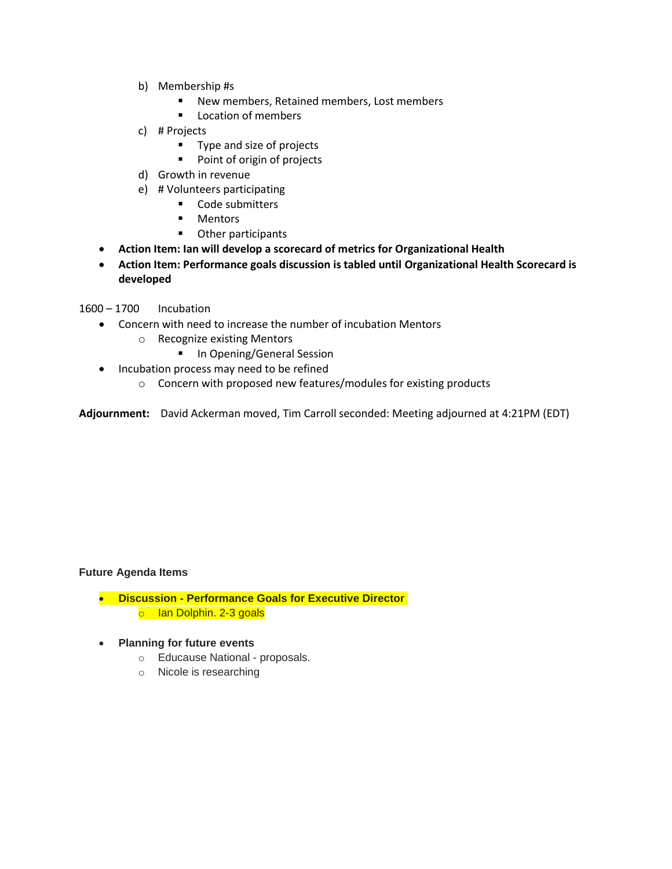- b) Membership #s
	- **New members, Retained members, Lost members**
	- **Location of members**
- c) # Projects
	- **Type and size of projects**
	- Point of origin of projects
- d) Growth in revenue
- e) # Volunteers participating
	- **Code submitters**
	- **Mentors**
	- **Other participants**
- **Action Item: Ian will develop a scorecard of metrics for Organizational Health**
- **Action Item: Performance goals discussion is tabled until Organizational Health Scorecard is developed**
- 1600 1700 Incubation
	- Concern with need to increase the number of incubation Mentors
		- o Recognize existing Mentors
			- **In Opening/General Session**
	- Incubation process may need to be refined
		- o Concern with proposed new features/modules for existing products

**Adjournment:** David Ackerman moved, Tim Carroll seconded: Meeting adjourned at 4:21PM (EDT)

### **Future Agenda Items**

- **Discussion - Performance Goals for Executive Director** o lan Dolphin. 2-3 goals
- **Planning for future events**
	- o Educause National proposals.
	- o Nicole is researching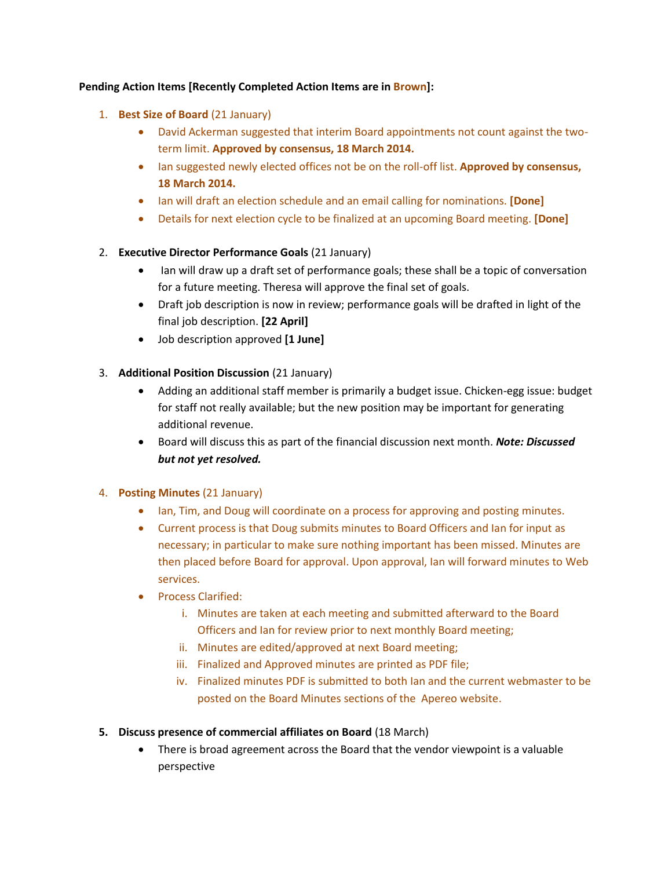## **Pending Action Items [Recently Completed Action Items are in Brown]:**

- 1. **Best Size of Board** (21 January)
	- David Ackerman suggested that interim Board appointments not count against the twoterm limit. **Approved by consensus, 18 March 2014.**
	- Ian suggested newly elected offices not be on the roll-off list. **Approved by consensus, 18 March 2014.**
	- Ian will draft an election schedule and an email calling for nominations. **[Done]**
	- Details for next election cycle to be finalized at an upcoming Board meeting. **[Done]**

## 2. **Executive Director Performance Goals** (21 January)

- Ian will draw up a draft set of performance goals; these shall be a topic of conversation for a future meeting. Theresa will approve the final set of goals.
- Draft job description is now in review; performance goals will be drafted in light of the final job description. **[22 April]**
- Job description approved **[1 June]**

## 3. **Additional Position Discussion** (21 January)

- Adding an additional staff member is primarily a budget issue. Chicken-egg issue: budget for staff not really available; but the new position may be important for generating additional revenue.
- Board will discuss this as part of the financial discussion next month. *Note: Discussed but not yet resolved.*

## 4. **Posting Minutes** (21 January)

- Ian, Tim, and Doug will coordinate on a process for approving and posting minutes.
- Current process is that Doug submits minutes to Board Officers and Ian for input as necessary; in particular to make sure nothing important has been missed. Minutes are then placed before Board for approval. Upon approval, Ian will forward minutes to Web services.
- Process Clarified:
	- i. Minutes are taken at each meeting and submitted afterward to the Board Officers and Ian for review prior to next monthly Board meeting;
	- ii. Minutes are edited/approved at next Board meeting;
	- iii. Finalized and Approved minutes are printed as PDF file;
	- iv. Finalized minutes PDF is submitted to both Ian and the current webmaster to be posted on the Board Minutes sections of the Apereo website.

## **5. Discuss presence of commercial affiliates on Board** (18 March)

 There is broad agreement across the Board that the vendor viewpoint is a valuable perspective